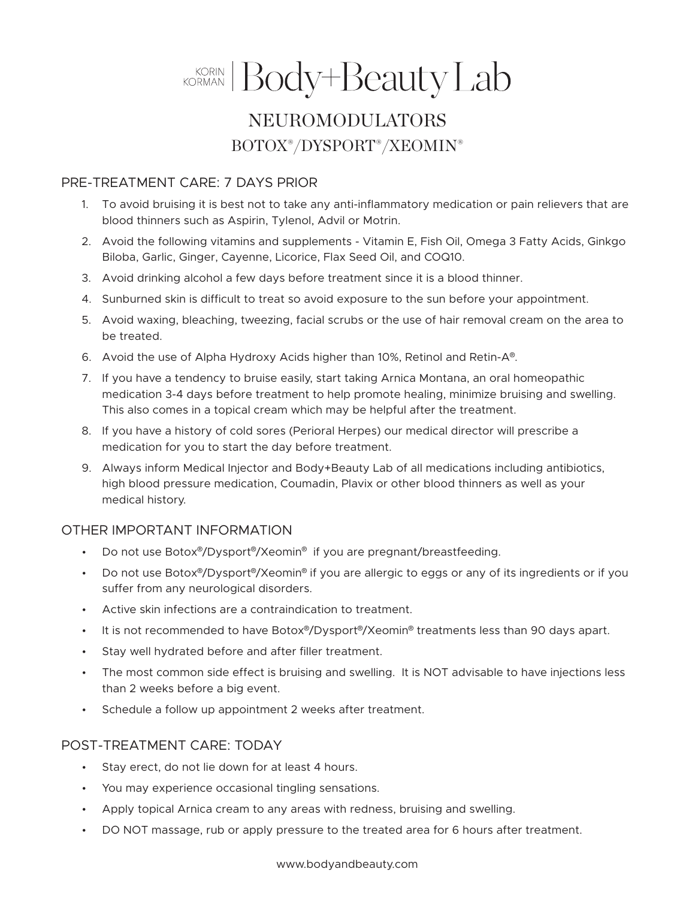# KORMAN Body+Beauty Lab

# NEUROMODULATORS BOTOX®/DYSPORT®/XEOMIN®

### PRE-TREATMENT CARE: 7 DAYS PRIOR

- 1. To avoid bruising it is best not to take any anti-inflammatory medication or pain relievers that are blood thinners such as Aspirin, Tylenol, Advil or Motrin.
- 2. Avoid the following vitamins and supplements Vitamin E, Fish Oil, Omega 3 Fatty Acids, Ginkgo Biloba, Garlic, Ginger, Cayenne, Licorice, Flax Seed Oil, and COQ10.
- 3. Avoid drinking alcohol a few days before treatment since it is a blood thinner.
- 4. Sunburned skin is difficult to treat so avoid exposure to the sun before your appointment.
- 5. Avoid waxing, bleaching, tweezing, facial scrubs or the use of hair removal cream on the area to be treated.
- 6. Avoid the use of Alpha Hydroxy Acids higher than 10%, Retinol and Retin-A®.
- 7. If you have a tendency to bruise easily, start taking Arnica Montana, an oral homeopathic medication 3-4 days before treatment to help promote healing, minimize bruising and swelling. This also comes in a topical cream which may be helpful after the treatment.
- 8. If you have a history of cold sores (Perioral Herpes) our medical director will prescribe a medication for you to start the day before treatment.
- 9. Always inform Medical Injector and Body+Beauty Lab of all medications including antibiotics, high blood pressure medication, Coumadin, Plavix or other blood thinners as well as your medical history.

## OTHER IMPORTANT INFORMATION

- Do not use Botox<sup>®</sup>/Dysport<sup>®</sup>/Xeomin<sup>®</sup> if you are pregnant/breastfeeding.
- Do not use Botox®/Dysport®/Xeomin® if you are allergic to eggs or any of its ingredients or if you suffer from any neurological disorders.
- Active skin infections are a contraindication to treatment.
- It is not recommended to have Botox®/Dysport®/Xeomin® treatments less than 90 days apart.
- Stay well hydrated before and after filler treatment.
- The most common side effect is bruising and swelling. It is NOT advisable to have injections less than 2 weeks before a big event.
- Schedule a follow up appointment 2 weeks after treatment.

### POST-TREATMENT CARE: TODAY

- Stay erect, do not lie down for at least 4 hours.
- You may experience occasional tingling sensations.
- Apply topical Arnica cream to any areas with redness, bruising and swelling.
- DO NOT massage, rub or apply pressure to the treated area for 6 hours after treatment.